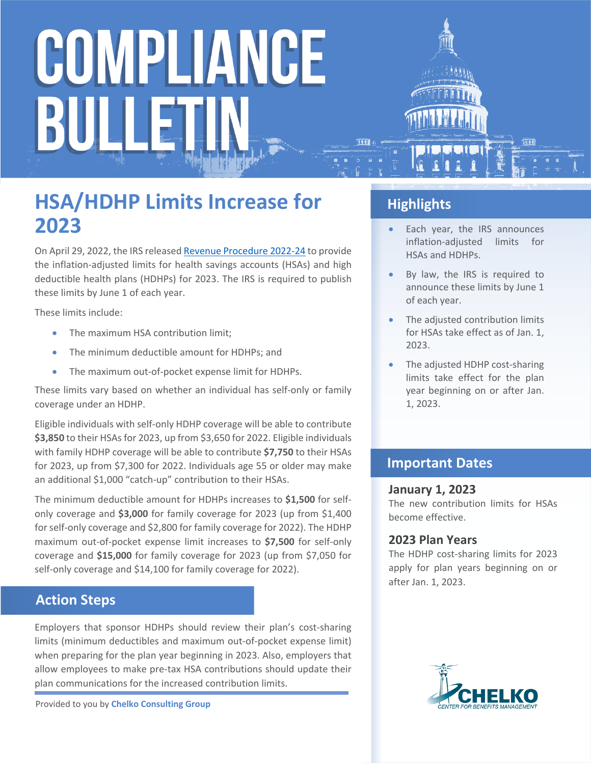# COMPLIANCE BULLE

### **HSA/HDHP Limits Increase for 2023**

On April 29, 2022, the IRS released [Revenue Procedure 2022-24](https://www.irs.gov/pub/irs-drop/rp-22-24.pdf) to provide the inflation-adjusted limits for health savings accounts (HSAs) and high deductible health plans (HDHPs) for 2023. The IRS is required to publish these limits by June 1 of each year.

These limits include:

- The maximum HSA contribution limit;
- The minimum deductible amount for HDHPs; and
- The maximum out-of-pocket expense limit for HDHPs.

These limits vary based on whether an individual has self-only or family coverage under an HDHP.

Eligible individuals with self-only HDHP coverage will be able to contribute **\$3,850** to their HSAs for 2023, up from \$3,650 for 2022. Eligible individuals with family HDHP coverage will be able to contribute **\$7,750** to their HSAs for 2023, up from \$7,300 for 2022. Individuals age 55 or older may make an additional \$1,000 "catch-up" contribution to their HSAs.

The minimum deductible amount for HDHPs increases to **\$1,500** for selfonly coverage and **\$3,000** for family coverage for 2023 (up from \$1,400 for self-only coverage and \$2,800 for family coverage for 2022). The HDHP maximum out-of-pocket expense limit increases to **\$7,500** for self-only coverage and **\$15,000** for family coverage for 2023 (up from \$7,050 for self-only coverage and \$14,100 for family coverage for 2022).

#### **Action Steps**

Employers that sponsor HDHPs should review their plan's cost-sharing limits (minimum deductibles and maximum out-of-pocket expense limit) when preparing for the plan year beginning in 2023. Also, employers that allow employees to make pre-tax HSA contributions should update their plan communications for the increased contribution limits.

Provided to you by **Chelko Consulting Group**

#### **Highlights**

- Each year, the IRS announces inflation-adjusted limits for HSAs and HDHPs.
- By law, the IRS is required to announce these limits by June 1 of each year.
- The adjusted contribution limits for HSAs take effect as of Jan. 1, 2023.
- The adjusted HDHP cost-sharing limits take effect for the plan year beginning on or after Jan. 1, 2023.

#### **Important Dates**

#### **January 1, 2023**

The new contribution limits for HSAs become effective.

#### **2023 Plan Years**

The HDHP cost-sharing limits for 2023 apply for plan years beginning on or after Jan. 1, 2023.